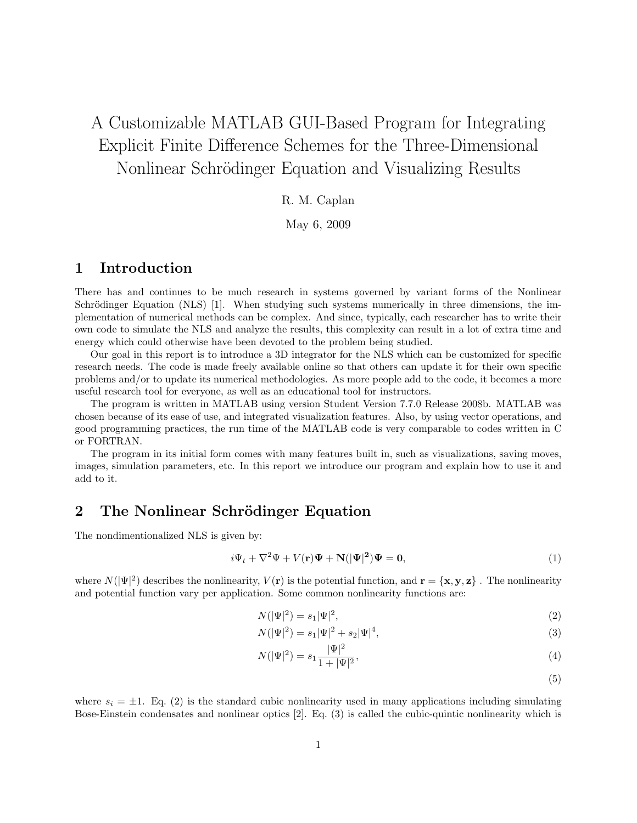# A Customizable MATLAB GUI-Based Program for Integrating Explicit Finite Difference Schemes for the Three-Dimensional Nonlinear Schrödinger Equation and Visualizing Results

R. M. Caplan

May 6, 2009

# 1 Introduction

There has and continues to be much research in systems governed by variant forms of the Nonlinear Schrödinger Equation (NLS)  $[1]$ . When studying such systems numerically in three dimensions, the implementation of numerical methods can be complex. And since, typically, each researcher has to write their own code to simulate the NLS and analyze the results, this complexity can result in a lot of extra time and energy which could otherwise have been devoted to the problem being studied.

Our goal in this report is to introduce a 3D integrator for the NLS which can be customized for specific research needs. The code is made freely available online so that others can update it for their own specific problems and/or to update its numerical methodologies. As more people add to the code, it becomes a more useful research tool for everyone, as well as an educational tool for instructors.

The program is written in MATLAB using version Student Version 7.7.0 Release 2008b. MATLAB was chosen because of its ease of use, and integrated visualization features. Also, by using vector operations, and good programming practices, the run time of the MATLAB code is very comparable to codes written in C or FORTRAN.

The program in its initial form comes with many features built in, such as visualizations, saving moves, images, simulation parameters, etc. In this report we introduce our program and explain how to use it and add to it.

# 2 The Nonlinear Schrödinger Equation

The nondimentionalized NLS is given by:

$$
i\Psi_t + \nabla^2 \Psi + V(\mathbf{r})\Psi + \mathbf{N}(|\Psi|^2)\Psi = 0,
$$
\n(1)

where  $N(|\Psi|^2)$  describes the nonlinearity,  $V(\mathbf{r})$  is the potential function, and  $\mathbf{r} = {\mathbf{x}, \mathbf{y}, \mathbf{z}}$ . The nonlinearity and potential function vary per application. Some common nonlinearity functions are:

$$
N(|\Psi|^2) = s_1 |\Psi|^2,
$$
\n(2)

$$
N(|\Psi|^2) = s_1 |\Psi|^2 + s_2 |\Psi|^4,
$$
\n(3)

$$
N(|\Psi|^2) = s_1 \frac{|\Psi|^2}{1 + |\Psi|^2},\tag{4}
$$

(5)

where  $s_i = \pm 1$ . Eq. (2) is the standard cubic nonlinearity used in many applications including simulating Bose-Einstein condensates and nonlinear optics [2]. Eq. (3) is called the cubic-quintic nonlinearity which is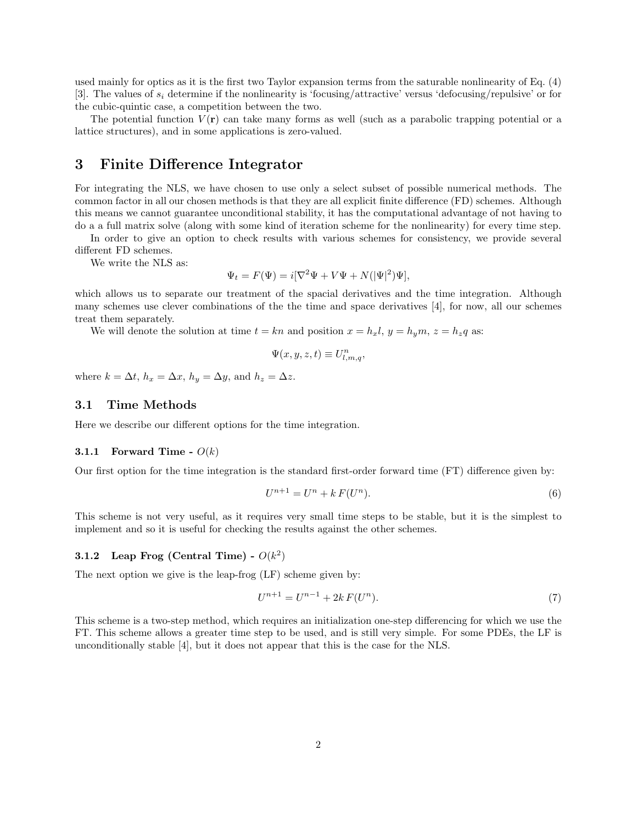used mainly for optics as it is the first two Taylor expansion terms from the saturable nonlinearity of Eq. (4) [3]. The values of  $s_i$  determine if the nonlinearity is 'focusing/attractive' versus 'defocusing/repulsive' or for the cubic-quintic case, a competition between the two.

The potential function  $V(\mathbf{r})$  can take many forms as well (such as a parabolic trapping potential or a lattice structures), and in some applications is zero-valued.

# 3 Finite Difference Integrator

For integrating the NLS, we have chosen to use only a select subset of possible numerical methods. The common factor in all our chosen methods is that they are all explicit finite difference (FD) schemes. Although this means we cannot guarantee unconditional stability, it has the computational advantage of not having to do a a full matrix solve (along with some kind of iteration scheme for the nonlinearity) for every time step.

In order to give an option to check results with various schemes for consistency, we provide several different FD schemes.

We write the NLS as:

$$
\Psi_t = F(\Psi) = i[\nabla^2 \Psi + V\Psi + N(|\Psi|^2)\Psi],
$$

which allows us to separate our treatment of the spacial derivatives and the time integration. Although many schemes use clever combinations of the the time and space derivatives [4], for now, all our schemes treat them separately.

We will denote the solution at time  $t = kn$  and position  $x = h_x l$ ,  $y = h_y m$ ,  $z = h_z q$  as:

$$
\Psi(x, y, z, t) \equiv U_{l,m,q}^{n},
$$

where  $k = \Delta t$ ,  $h_x = \Delta x$ ,  $h_y = \Delta y$ , and  $h_z = \Delta z$ .

### 3.1 Time Methods

Here we describe our different options for the time integration.

#### **3.1.1 Forward Time -**  $O(k)$

Our first option for the time integration is the standard first-order forward time (FT) difference given by:

$$
U^{n+1} = U^n + k F(U^n). \tag{6}
$$

This scheme is not very useful, as it requires very small time steps to be stable, but it is the simplest to implement and so it is useful for checking the results against the other schemes.

### 3.1.2 Leap Frog (Central Time) -  $O(k^2)$

The next option we give is the leap-frog (LF) scheme given by:

$$
U^{n+1} = U^{n-1} + 2k F(U^n). \tag{7}
$$

This scheme is a two-step method, which requires an initialization one-step differencing for which we use the FT. This scheme allows a greater time step to be used, and is still very simple. For some PDEs, the LF is unconditionally stable [4], but it does not appear that this is the case for the NLS.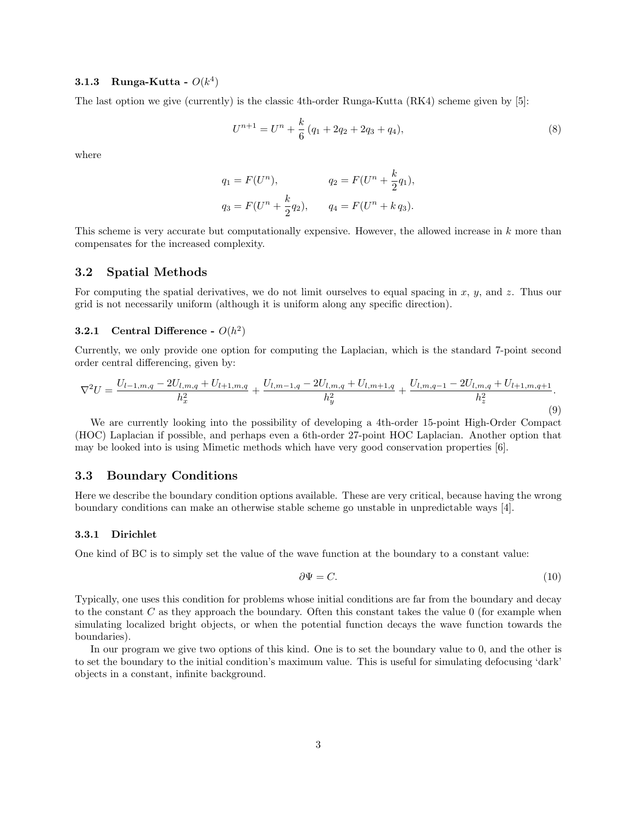### 3.1.3 Runga-Kutta -  $O(k^4)$

The last option we give (currently) is the classic 4th-order Runga-Kutta (RK4) scheme given by [5]:

$$
U^{n+1} = U^n + \frac{k}{6} \left( q_1 + 2q_2 + 2q_3 + q_4 \right), \tag{8}
$$

where

$$
q_1 = F(U^n),
$$
  $q_2 = F(U^n + \frac{k}{2}q_1),$   
 $q_3 = F(U^n + \frac{k}{2}q_2),$   $q_4 = F(U^n + k q_3).$ 

This scheme is very accurate but computationally expensive. However, the allowed increase in k more than compensates for the increased complexity.

#### 3.2 Spatial Methods

For computing the spatial derivatives, we do not limit ourselves to equal spacing in  $x, y$ , and  $z$ . Thus our grid is not necessarily uniform (although it is uniform along any specific direction).

### **3.2.1** Central Difference -  $O(h^2)$

Currently, we only provide one option for computing the Laplacian, which is the standard 7-point second order central differencing, given by:

$$
\nabla^2 U = \frac{U_{l-1,m,q} - 2U_{l,m,q} + U_{l+1,m,q}}{h_x^2} + \frac{U_{l,m-1,q} - 2U_{l,m,q} + U_{l,m+1,q}}{h_y^2} + \frac{U_{l,m,q-1} - 2U_{l,m,q} + U_{l+1,m,q+1}}{h_z^2}.
$$
\n(9)

We are currently looking into the possibility of developing a 4th-order 15-point High-Order Compact (HOC) Laplacian if possible, and perhaps even a 6th-order 27-point HOC Laplacian. Another option that may be looked into is using Mimetic methods which have very good conservation properties [6].

#### 3.3 Boundary Conditions

Here we describe the boundary condition options available. These are very critical, because having the wrong boundary conditions can make an otherwise stable scheme go unstable in unpredictable ways [4].

#### 3.3.1 Dirichlet

One kind of BC is to simply set the value of the wave function at the boundary to a constant value:

$$
\partial \Psi = C. \tag{10}
$$

Typically, one uses this condition for problems whose initial conditions are far from the boundary and decay to the constant  $C$  as they approach the boundary. Often this constant takes the value  $0$  (for example when simulating localized bright objects, or when the potential function decays the wave function towards the boundaries).

In our program we give two options of this kind. One is to set the boundary value to 0, and the other is to set the boundary to the initial condition's maximum value. This is useful for simulating defocusing 'dark' objects in a constant, infinite background.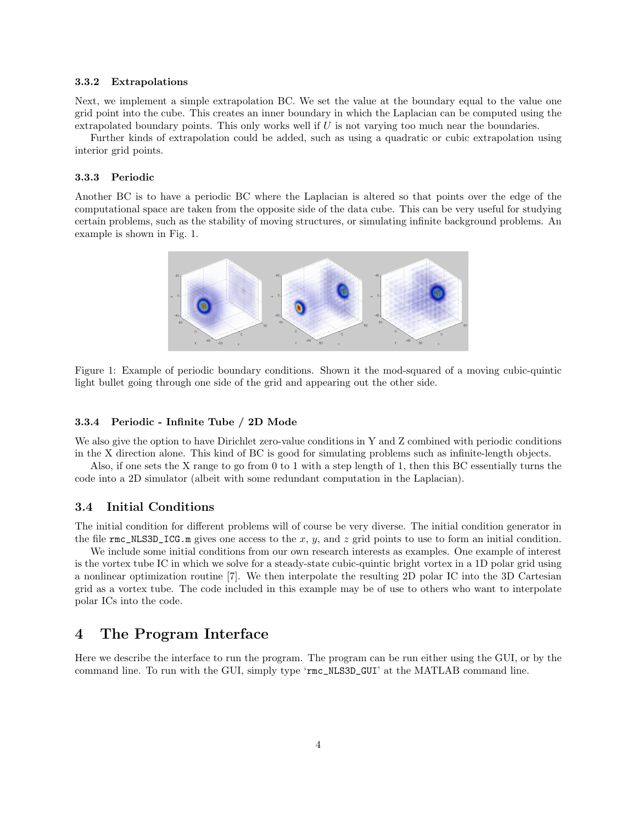#### 3.3.2 Extrapolations

Next, we implement a simple extrapolation BC. We set the value at the boundary equal to the value one grid point into the cube. This creates an inner boundary in which the Laplacian can be computed using the extrapolated boundary points. This only works well if  $U$  is not varying too much near the boundaries.

Further kinds of extrapolation could be added, such as using a quadratic or cubic extrapolation using interior grid points.

#### 3.3.3 Periodic

Another BC is to have a periodic BC where the Laplacian is altered so that points over the edge of the computational space are taken from the opposite side of the data cube. This can be very useful for studying certain problems, such as the stability of moving structures, or simulating infinite background problems. An example is shown in Fig. 1.



Figure 1: Example of periodic boundary conditions. Shown it the mod-squared of a moving cubic-quintic light bullet going through one side of the grid and appearing out the other side.

#### 3.3.4 Periodic - Infinite Tube / 2D Mode

We also give the option to have Dirichlet zero-value conditions in Y and Z combined with periodic conditions in the X direction alone. This kind of BC is good for simulating problems such as infinite-length objects.

Also, if one sets the X range to go from 0 to 1 with a step length of 1, then this BC essentially turns the code into a 2D simulator (albeit with some redundant computation in the Laplacian).

#### 3.4 Initial Conditions

The initial condition for different problems will of course be very diverse. The initial condition generator in the file  $\texttt{rm\_NLS3D\_ICG.m}$  gives one access to the x, y, and z grid points to use to form an initial condition.

We include some initial conditions from our own research interests as examples. One example of interest is the vortex tube IC in which we solve for a steady-state cubic-quintic bright vortex in a 1D polar grid using a nonlinear optimization routine [7]. We then interpolate the resulting 2D polar IC into the 3D Cartesian grid as a vortex tube. The code included in this example may be of use to others who want to interpolate polar ICs into the code.

### 4 The Program Interface

Here we describe the interface to run the program. The program can be run either using the GUI, or by the command line. To run with the GUI, simply type 'rmc\_NLS3D\_GUI' at the MATLAB command line.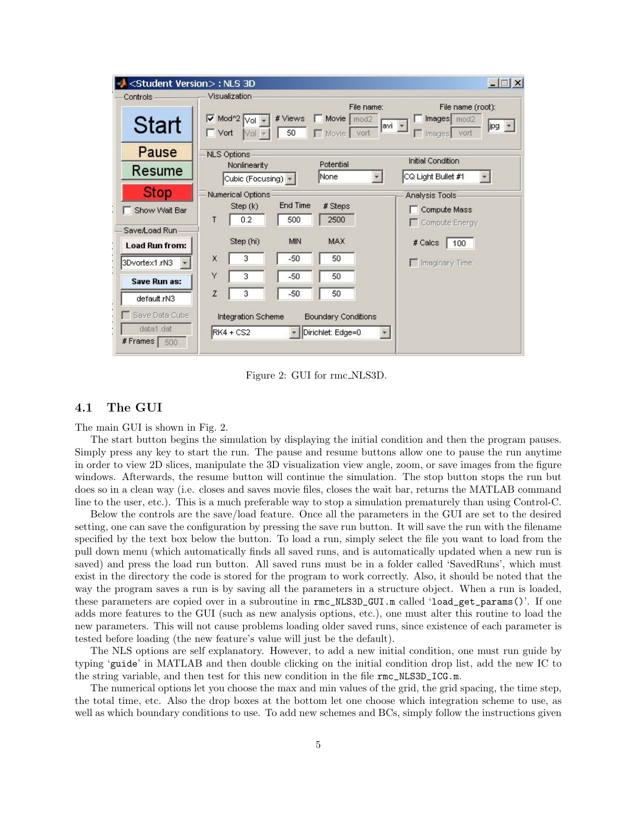| <student version="">: NLS 3D</student> |                    |                                                                           |                 |                              |               |                                      | $ \Box$ $\times$ |
|----------------------------------------|--------------------|---------------------------------------------------------------------------|-----------------|------------------------------|---------------|--------------------------------------|------------------|
| Controls-                              | Visualization      |                                                                           |                 |                              | File name:    | File name (root):                    |                  |
| Start                                  | $\Gamma$ Vort      | $\triangledown$ Mod <sup>2</sup> 2 $\triangledown$ <sub>Ol</sub> -<br>Vol | # Views<br>50   | Movie   mod2<br>$\Box$ Movie | avi +<br>vort | Images mod2<br>vort<br>$\Box$ Images | jpg -            |
| Pause                                  | <b>NLS Options</b> |                                                                           |                 |                              |               | <b>Initial Condition</b>             |                  |
| Resume                                 |                    | Potential<br>Nonlinearity<br>None<br>٠<br>Cubic (Focusing) -              |                 |                              |               | CQ Light Bullet #1                   |                  |
| <b>Stop</b>                            |                    | Numerical Options                                                         |                 |                              |               | Analysis Tools-                      |                  |
| Show Wait Bar                          | T                  | Step (k)<br>0.2                                                           | End Time<br>500 | $#$ Steps<br>2500            |               | Compute Mass<br>Compute Energy       |                  |
| Save/Load Run                          |                    |                                                                           |                 |                              |               |                                      |                  |
| <b>Load Run from:</b>                  |                    | Step (hi)                                                                 | MIN             | <b>MAX</b>                   |               | $#$ Calcs<br>100                     |                  |
| 3Dvortex1.rN3                          | X                  | 3                                                                         | $-50$           | 50                           |               | <b>F</b> Imaginary Time              |                  |
| Save Run as:                           | Υ                  | 3                                                                         | $-50$           | 50                           |               |                                      |                  |
| default.rN3                            | Z                  | 3                                                                         | $-50$           | 50                           |               |                                      |                  |
| Save Data Cube                         |                    | Integration Scheme                                                        |                 | <b>Boundary Conditions</b>   |               |                                      |                  |
| data1.dat<br>$#$ Frames $\vert$<br>500 |                    | $RK4 + CS2$                                                               |                 | Dirichlet: Edge=0            |               |                                      |                  |

Figure 2: GUI for rmc NLS3D.

#### 4.1 The GUI

The main GUI is shown in Fig. 2.

The start button begins the simulation by displaying the initial condition and then the program pauses. Simply press any key to start the run. The pause and resume buttons allow one to pause the run anytime in order to view 2D slices, manipulate the 3D visualization view angle, zoom, or save images from the figure windows. Afterwards, the resume button will continue the simulation. The stop button stops the run but does so in a clean way (i.e. closes and saves movie files, closes the wait bar, returns the MATLAB command line to the user, etc.). This is a much preferable way to stop a simulation prematurely than using Control-C.

Below the controls are the save/load feature. Once all the parameters in the GUI are set to the desired setting, one can save the configuration by pressing the save run button. It will save the run with the filename specified by the text box below the button. To load a run, simply select the file you want to load from the pull down menu (which automatically finds all saved runs, and is automatically updated when a new run is saved) and press the load run button. All saved runs must be in a folder called 'SavedRuns', which must exist in the directory the code is stored for the program to work correctly. Also, it should be noted that the way the program saves a run is by saving all the parameters in a structure object. When a run is loaded, these parameters are copied over in a subroutine in rmc\_NLS3D\_GUI.m called 'load\_get\_params()'. If one adds more features to the GUI (such as new analysis options, etc.), one must alter this routine to load the new parameters. This will not cause problems loading older saved runs, since existence of each parameter is tested before loading (the new feature's value will just be the default).

The NLS options are self explanatory. However, to add a new initial condition, one must run guide by typing 'guide' in MATLAB and then double clicking on the initial condition drop list, add the new IC to the string variable, and then test for this new condition in the file rmc\_NLS3D\_ICG.m.

The numerical options let you choose the max and min values of the grid, the grid spacing, the time step, the total time, etc. Also the drop boxes at the bottom let one choose which integration scheme to use, as well as which boundary conditions to use. To add new schemes and BCs, simply follow the instructions given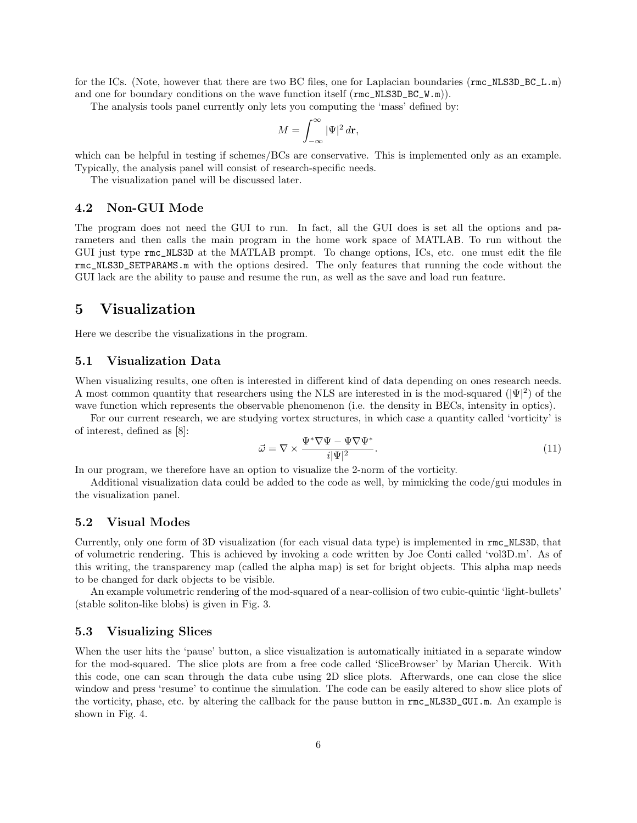for the ICs. (Note, however that there are two BC files, one for Laplacian boundaries (rmc\_NLS3D\_BC\_L.m) and one for boundary conditions on the wave function itself  $(rmc_NLSSD_BC_W.m)$ .

The analysis tools panel currently only lets you computing the 'mass' defined by:

$$
M=\int_{-\infty}^{\infty}|\Psi|^2\,d{\bf r},
$$

which can be helpful in testing if schemes/BCs are conservative. This is implemented only as an example. Typically, the analysis panel will consist of research-specific needs.

The visualization panel will be discussed later.

### 4.2 Non-GUI Mode

The program does not need the GUI to run. In fact, all the GUI does is set all the options and parameters and then calls the main program in the home work space of MATLAB. To run without the GUI just type rmc\_NLS3D at the MATLAB prompt. To change options, ICs, etc. one must edit the file rmc\_NLS3D\_SETPARAMS.m with the options desired. The only features that running the code without the GUI lack are the ability to pause and resume the run, as well as the save and load run feature.

### 5 Visualization

Here we describe the visualizations in the program.

### 5.1 Visualization Data

When visualizing results, one often is interested in different kind of data depending on ones research needs. A most common quantity that researchers using the NLS are interested in is the mod-squared  $(|\Psi|^2)$  of the wave function which represents the observable phenomenon (i.e. the density in BECs, intensity in optics).

For our current research, we are studying vortex structures, in which case a quantity called 'vorticity' is of interest, defined as [8]:

$$
\vec{\omega} = \nabla \times \frac{\Psi^* \nabla \Psi - \Psi \nabla \Psi^*}{i |\Psi|^2}.
$$
\n(11)

In our program, we therefore have an option to visualize the 2-norm of the vorticity.

Additional visualization data could be added to the code as well, by mimicking the code/gui modules in the visualization panel.

#### 5.2 Visual Modes

Currently, only one form of 3D visualization (for each visual data type) is implemented in rmc\_NLS3D, that of volumetric rendering. This is achieved by invoking a code written by Joe Conti called 'vol3D.m'. As of this writing, the transparency map (called the alpha map) is set for bright objects. This alpha map needs to be changed for dark objects to be visible.

An example volumetric rendering of the mod-squared of a near-collision of two cubic-quintic 'light-bullets' (stable soliton-like blobs) is given in Fig. 3.

#### 5.3 Visualizing Slices

When the user hits the 'pause' button, a slice visualization is automatically initiated in a separate window for the mod-squared. The slice plots are from a free code called 'SliceBrowser' by Marian Uhercik. With this code, one can scan through the data cube using 2D slice plots. Afterwards, one can close the slice window and press 'resume' to continue the simulation. The code can be easily altered to show slice plots of the vorticity, phase, etc. by altering the callback for the pause button in rmc\_NLS3D\_GUI.m. An example is shown in Fig. 4.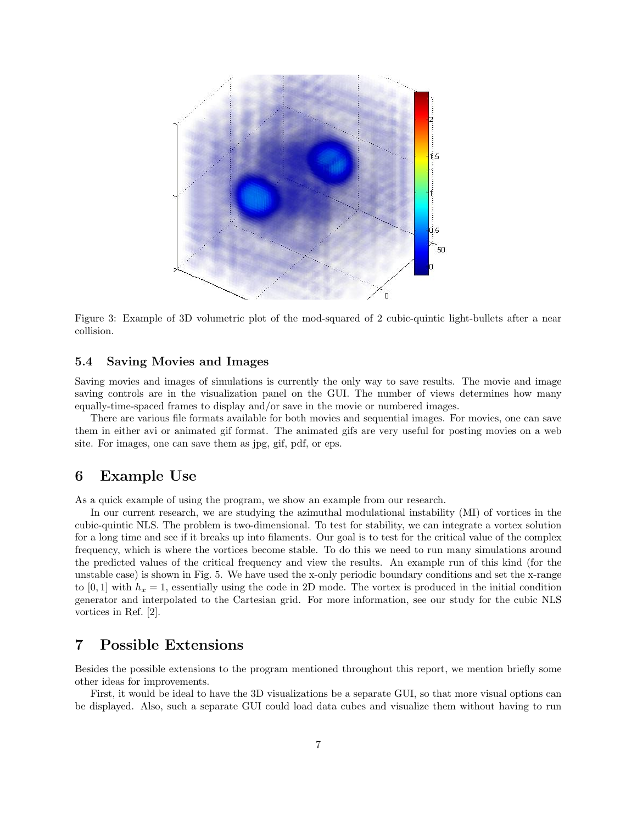

Figure 3: Example of 3D volumetric plot of the mod-squared of 2 cubic-quintic light-bullets after a near collision.

#### 5.4 Saving Movies and Images

Saving movies and images of simulations is currently the only way to save results. The movie and image saving controls are in the visualization panel on the GUI. The number of views determines how many equally-time-spaced frames to display and/or save in the movie or numbered images.

There are various file formats available for both movies and sequential images. For movies, one can save them in either avi or animated gif format. The animated gifs are very useful for posting movies on a web site. For images, one can save them as jpg, gif, pdf, or eps.

# 6 Example Use

As a quick example of using the program, we show an example from our research.

In our current research, we are studying the azimuthal modulational instability (MI) of vortices in the cubic-quintic NLS. The problem is two-dimensional. To test for stability, we can integrate a vortex solution for a long time and see if it breaks up into filaments. Our goal is to test for the critical value of the complex frequency, which is where the vortices become stable. To do this we need to run many simulations around the predicted values of the critical frequency and view the results. An example run of this kind (for the unstable case) is shown in Fig. 5. We have used the x-only periodic boundary conditions and set the x-range to [0, 1] with  $h_x = 1$ , essentially using the code in 2D mode. The vortex is produced in the initial condition generator and interpolated to the Cartesian grid. For more information, see our study for the cubic NLS vortices in Ref. [2].

# 7 Possible Extensions

Besides the possible extensions to the program mentioned throughout this report, we mention briefly some other ideas for improvements.

First, it would be ideal to have the 3D visualizations be a separate GUI, so that more visual options can be displayed. Also, such a separate GUI could load data cubes and visualize them without having to run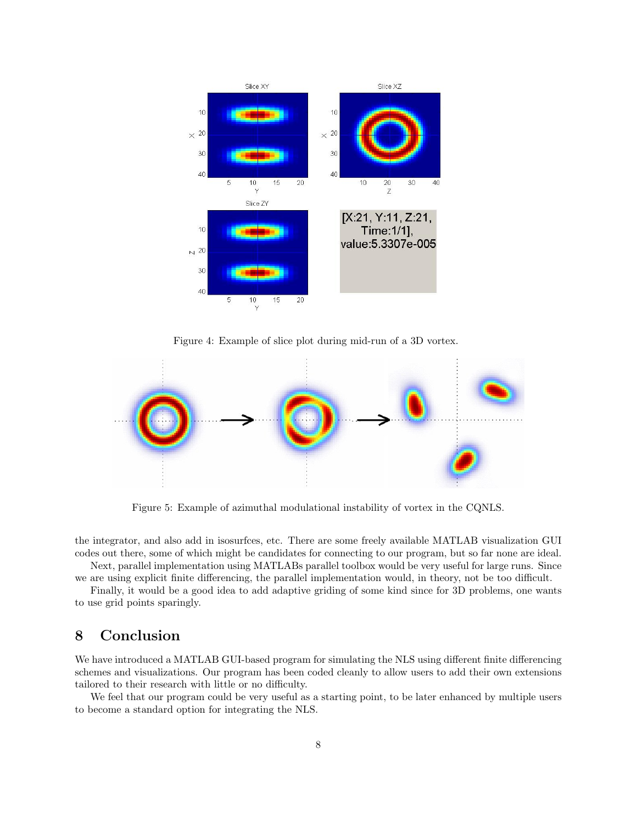

Figure 4: Example of slice plot during mid-run of a 3D vortex.



Figure 5: Example of azimuthal modulational instability of vortex in the CQNLS.

the integrator, and also add in isosurfces, etc. There are some freely available MATLAB visualization GUI codes out there, some of which might be candidates for connecting to our program, but so far none are ideal.

Next, parallel implementation using MATLABs parallel toolbox would be very useful for large runs. Since we are using explicit finite differencing, the parallel implementation would, in theory, not be too difficult.

Finally, it would be a good idea to add adaptive griding of some kind since for 3D problems, one wants to use grid points sparingly.

# 8 Conclusion

We have introduced a MATLAB GUI-based program for simulating the NLS using different finite differencing schemes and visualizations. Our program has been coded cleanly to allow users to add their own extensions tailored to their research with little or no difficulty.

We feel that our program could be very useful as a starting point, to be later enhanced by multiple users to become a standard option for integrating the NLS.